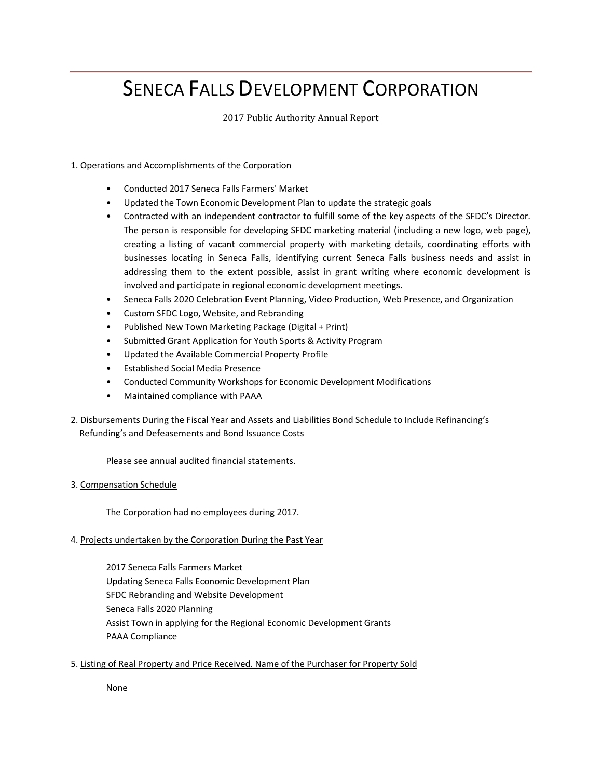# SENECA FALLS DEVELOPMENT CORPORATION

# 2017 Public Authority Annual Report

# 1. Operations and Accomplishments of the Corporation

- Conducted 2017 Seneca Falls Farmers' Market
- Updated the Town Economic Development Plan to update the strategic goals
- Contracted with an independent contractor to fulfill some of the key aspects of the SFDC's Director. The person is responsible for developing SFDC marketing material (including a new logo, web page), creating a listing of vacant commercial property with marketing details, coordinating efforts with businesses locating in Seneca Falls, identifying current Seneca Falls business needs and assist in addressing them to the extent possible, assist in grant writing where economic development is involved and participate in regional economic development meetings.
- Seneca Falls 2020 Celebration Event Planning, Video Production, Web Presence, and Organization
- Custom SFDC Logo, Website, and Rebranding
- Published New Town Marketing Package (Digital + Print)
- Submitted Grant Application for Youth Sports & Activity Program
- Updated the Available Commercial Property Profile
- Established Social Media Presence
- Conducted Community Workshops for Economic Development Modifications
- Maintained compliance with PAAA
- 2. Disbursements During the Fiscal Year and Assets and Liabilities Bond Schedule to Include Refinancing's Refunding's and Defeasements and Bond Issuance Costs

Please see annual audited financial statements.

# 3. Compensation Schedule

The Corporation had no employees during 2017.

# 4. Projects undertaken by the Corporation During the Past Year

2017 Seneca Falls Farmers Market Updating Seneca Falls Economic Development Plan SFDC Rebranding and Website Development Seneca Falls 2020 Planning Assist Town in applying for the Regional Economic Development Grants PAAA Compliance

# 5. Listing of Real Property and Price Received. Name of the Purchaser for Property Sold

None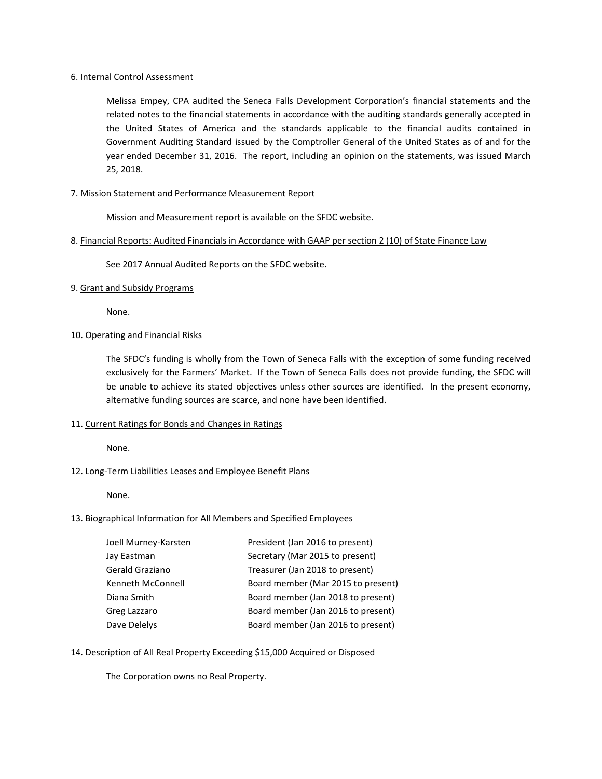## 6. Internal Control Assessment

Melissa Empey, CPA audited the Seneca Falls Development Corporation's financial statements and the related notes to the financial statements in accordance with the auditing standards generally accepted in the United States of America and the standards applicable to the financial audits contained in Government Auditing Standard issued by the Comptroller General of the United States as of and for the year ended December 31, 2016. The report, including an opinion on the statements, was issued March 25, 2018.

# 7. Mission Statement and Performance Measurement Report

Mission and Measurement report is available on the SFDC website.

# 8. Financial Reports: Audited Financials in Accordance with GAAP per section 2 (10) of State Finance Law

See 2017 Annual Audited Reports on the SFDC website.

## 9. Grant and Subsidy Programs

None.

# 10. Operating and Financial Risks

The SFDC's funding is wholly from the Town of Seneca Falls with the exception of some funding received exclusively for the Farmers' Market. If the Town of Seneca Falls does not provide funding, the SFDC will be unable to achieve its stated objectives unless other sources are identified. In the present economy, alternative funding sources are scarce, and none have been identified.

## 11. Current Ratings for Bonds and Changes in Ratings

None.

# 12. Long-Term Liabilities Leases and Employee Benefit Plans

None.

## 13. Biographical Information for All Members and Specified Employees

| Joell Murney-Karsten | President (Jan 2016 to present)    |
|----------------------|------------------------------------|
| Jay Eastman          | Secretary (Mar 2015 to present)    |
| Gerald Graziano      | Treasurer (Jan 2018 to present)    |
| Kenneth McConnell    | Board member (Mar 2015 to present) |
| Diana Smith          | Board member (Jan 2018 to present) |
| Greg Lazzaro         | Board member (Jan 2016 to present) |
| Dave Delelys         | Board member (Jan 2016 to present) |

# 14. Description of All Real Property Exceeding \$15,000 Acquired or Disposed

The Corporation owns no Real Property.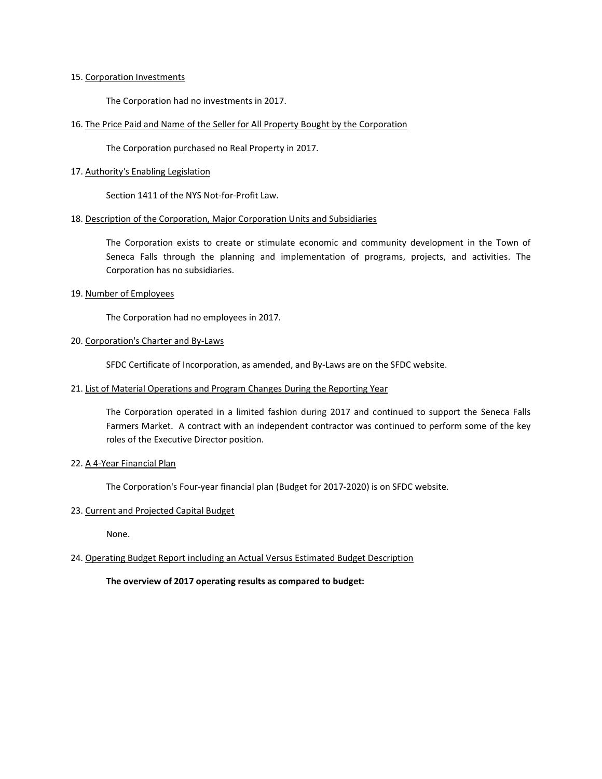#### 15. Corporation Investments

The Corporation had no investments in 2017.

## 16. The Price Paid and Name of the Seller for All Property Bought by the Corporation

The Corporation purchased no Real Property in 2017.

#### 17. Authority's Enabling Legislation

Section 1411 of the NYS Not-for-Profit Law.

#### 18. Description of the Corporation, Major Corporation Units and Subsidiaries

The Corporation exists to create or stimulate economic and community development in the Town of Seneca Falls through the planning and implementation of programs, projects, and activities. The Corporation has no subsidiaries.

#### 19. Number of Employees

The Corporation had no employees in 2017.

# 20. Corporation's Charter and By-Laws

SFDC Certificate of Incorporation, as amended, and By-Laws are on the SFDC website.

#### 21. List of Material Operations and Program Changes During the Reporting Year

The Corporation operated in a limited fashion during 2017 and continued to support the Seneca Falls Farmers Market. A contract with an independent contractor was continued to perform some of the key roles of the Executive Director position.

## 22. A 4-Year Financial Plan

The Corporation's Four-year financial plan (Budget for 2017-2020) is on SFDC website.

## 23. Current and Projected Capital Budget

None.

## 24. Operating Budget Report including an Actual Versus Estimated Budget Description

**The overview of 2017 operating results as compared to budget:**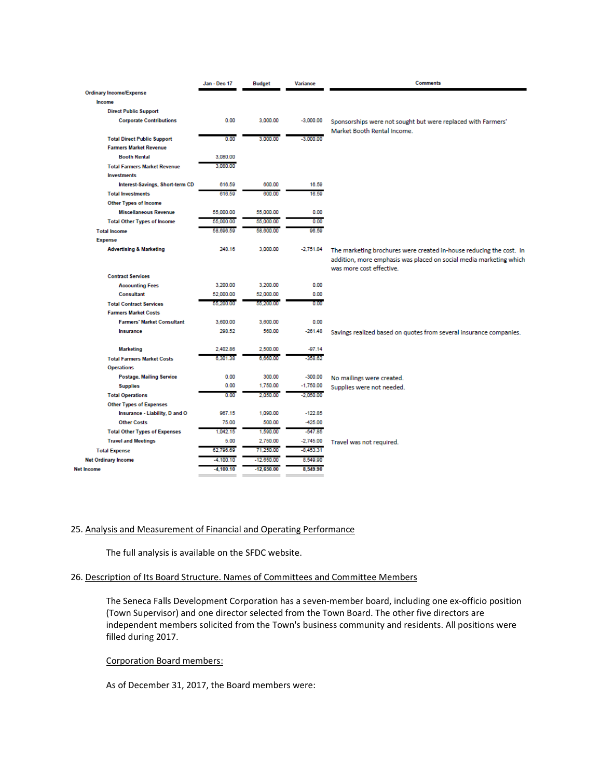|                                      | Jan - Dec 17 | <b>Budget</b> | <b>Variance</b> | <b>Comments</b>                                                                                                                                                       |
|--------------------------------------|--------------|---------------|-----------------|-----------------------------------------------------------------------------------------------------------------------------------------------------------------------|
| <b>Ordinary Income/Expense</b>       |              |               |                 |                                                                                                                                                                       |
| Income                               |              |               |                 |                                                                                                                                                                       |
| <b>Direct Public Support</b>         |              |               |                 |                                                                                                                                                                       |
| <b>Corporate Contributions</b>       | 0.00         | 3,000.00      | $-3,000.00$     | Sponsorships were not sought but were replaced with Farmers'                                                                                                          |
| <b>Total Direct Public Support</b>   | 0.00         | 3,000.00      | $-3,000.00$     | Market Booth Rental Income.                                                                                                                                           |
| <b>Farmers Market Revenue</b>        |              |               |                 |                                                                                                                                                                       |
| <b>Booth Rental</b>                  | 3,080.00     |               |                 |                                                                                                                                                                       |
| <b>Total Farmers Market Revenue</b>  | 3.080.00     |               |                 |                                                                                                                                                                       |
| <b>Investments</b>                   |              |               |                 |                                                                                                                                                                       |
| Interest-Savings, Short-term CD      | 616.59       | 600.00        | 16.59           |                                                                                                                                                                       |
| <b>Total Investments</b>             | 616.59       | 600.00        | 16.59           |                                                                                                                                                                       |
| <b>Other Types of Income</b>         |              |               |                 |                                                                                                                                                                       |
| <b>Miscellaneous Revenue</b>         | 55,000.00    | 55,000.00     | 0.00            |                                                                                                                                                                       |
| <b>Total Other Types of Income</b>   | 55,000.00    | 55,000.00     | 0.00            |                                                                                                                                                                       |
| <b>Total Income</b>                  | 58,696.59    | 58,600.00     | 96.59           |                                                                                                                                                                       |
| <b>Expense</b>                       |              |               |                 |                                                                                                                                                                       |
| <b>Advertising &amp; Marketing</b>   | 248.16       | 3,000.00      | $-2,751.84$     | The marketing brochures were created in-house reducing the cost. In<br>addition, more emphasis was placed on social media marketing which<br>was more cost effective. |
| <b>Contract Services</b>             |              |               |                 |                                                                                                                                                                       |
| <b>Accounting Fees</b>               | 3,200.00     | 3,200.00      | 0.00            |                                                                                                                                                                       |
| Consultant                           | 52.000.00    | 52,000.00     | 0.00            |                                                                                                                                                                       |
| <b>Total Contract Services</b>       | 55.200.00    | 55,200.00     | 0.00            |                                                                                                                                                                       |
| <b>Farmers Market Costs</b>          |              |               |                 |                                                                                                                                                                       |
| <b>Farmers' Market Consultant</b>    | 3,600.00     | 3,600.00      | 0.00            |                                                                                                                                                                       |
| Insurance                            | 298.52       | 560.00        | $-261.48$       | Savings realized based on quotes from several insurance companies.                                                                                                    |
| <b>Marketing</b>                     | 2,402.86     | 2,500.00      | $-97.14$        |                                                                                                                                                                       |
| <b>Total Farmers Market Costs</b>    | 6,301.38     | 6,660.00      | $-358.62$       |                                                                                                                                                                       |
| <b>Operations</b>                    |              |               |                 |                                                                                                                                                                       |
| <b>Postage, Mailing Service</b>      | 0.00         | 300.00        | $-300.00$       | No mailings were created.                                                                                                                                             |
| <b>Supplies</b>                      | 0.00         | 1,750.00      | $-1,750.00$     | Supplies were not needed.                                                                                                                                             |
| <b>Total Operations</b>              | 0.00         | 2.050.00      | $-2,050.00$     |                                                                                                                                                                       |
| <b>Other Types of Expenses</b>       |              |               |                 |                                                                                                                                                                       |
| Insurance - Liability, D and O       | 967.15       | 1,090.00      | $-122.85$       |                                                                                                                                                                       |
| <b>Other Costs</b>                   | 75.00        | 500.00        | $-425.00$       |                                                                                                                                                                       |
| <b>Total Other Types of Expenses</b> | 1.042.15     | 1,590.00      | $-547.85$       |                                                                                                                                                                       |
| <b>Travel and Meetings</b>           | 5.00         | 2,750.00      | $-2,745.00$     | Travel was not required.                                                                                                                                              |
| <b>Total Expense</b>                 | 62.796.69    | 71.250.00     | $-8.453.31$     |                                                                                                                                                                       |
| <b>Net Ordinary Income</b>           | $-4,100.10$  | $-12,650.00$  | 8,549.90        |                                                                                                                                                                       |
| <b>Net Income</b>                    | $-4,100.10$  | $-12,650.00$  | 8,549.90        |                                                                                                                                                                       |

## 25. Analysis and Measurement of Financial and Operating Performance

The full analysis is available on the SFDC website.

# 26. Description of Its Board Structure. Names of Committees and Committee Members

The Seneca Falls Development Corporation has a seven-member board, including one ex-officio position (Town Supervisor) and one director selected from the Town Board. The other five directors are independent members solicited from the Town's business community and residents. All positions were filled during 2017.

# Corporation Board members:

As of December 31, 2017, the Board members were: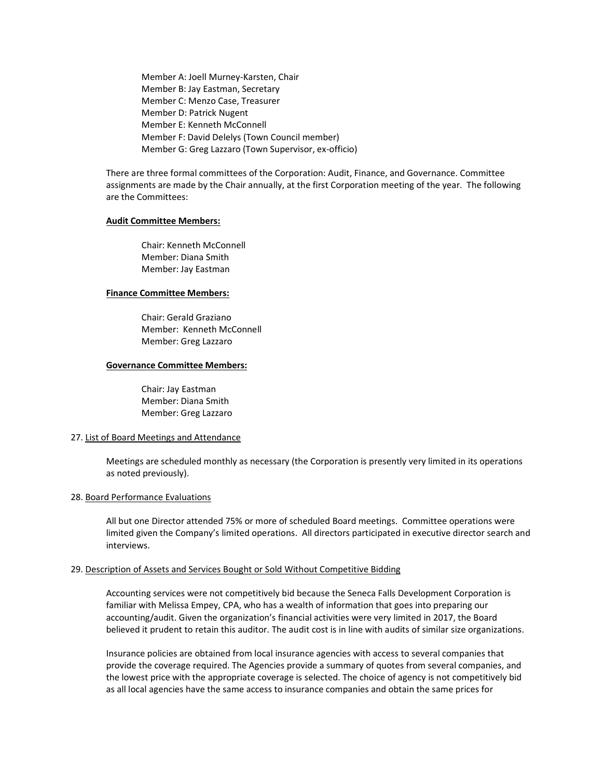Member A: Joell Murney-Karsten, Chair Member B: Jay Eastman, Secretary Member C: Menzo Case, Treasurer Member D: Patrick Nugent Member E: Kenneth McConnell Member F: David Delelys (Town Council member) Member G: Greg Lazzaro (Town Supervisor, ex-officio)

There are three formal committees of the Corporation: Audit, Finance, and Governance. Committee assignments are made by the Chair annually, at the first Corporation meeting of the year. The following are the Committees:

#### **Audit Committee Members:**

Chair: Kenneth McConnell Member: Diana Smith Member: Jay Eastman

#### **Finance Committee Members:**

Chair: Gerald Graziano Member: Kenneth McConnell Member: Greg Lazzaro

#### **Governance Committee Members:**

Chair: Jay Eastman Member: Diana Smith Member: Greg Lazzaro

# 27. List of Board Meetings and Attendance

Meetings are scheduled monthly as necessary (the Corporation is presently very limited in its operations as noted previously).

## 28. Board Performance Evaluations

All but one Director attended 75% or more of scheduled Board meetings. Committee operations were limited given the Company's limited operations. All directors participated in executive director search and interviews.

#### 29. Description of Assets and Services Bought or Sold Without Competitive Bidding

Accounting services were not competitively bid because the Seneca Falls Development Corporation is familiar with Melissa Empey, CPA, who has a wealth of information that goes into preparing our accounting/audit. Given the organization's financial activities were very limited in 2017, the Board believed it prudent to retain this auditor. The audit cost is in line with audits of similar size organizations.

Insurance policies are obtained from local insurance agencies with access to several companies that provide the coverage required. The Agencies provide a summary of quotes from several companies, and the lowest price with the appropriate coverage is selected. The choice of agency is not competitively bid as all local agencies have the same access to insurance companies and obtain the same prices for